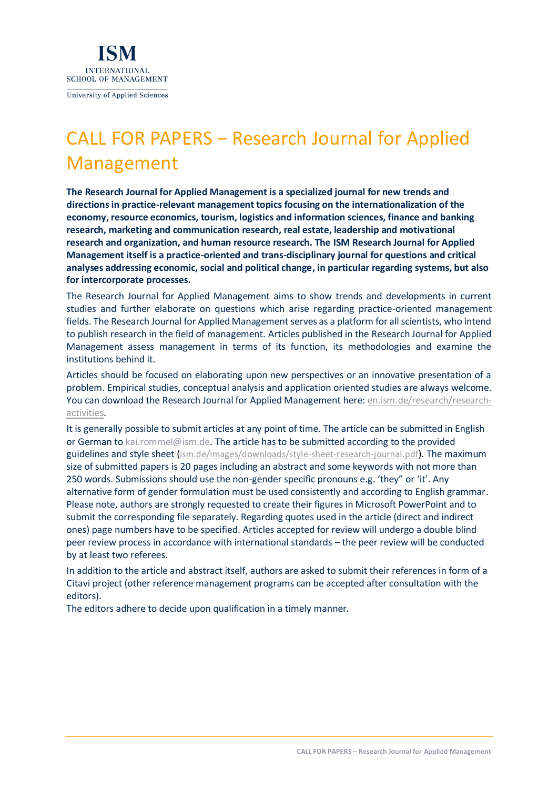

**University of Applied Sciences** 

## CALL FOR PAPERS − Research Journal for Applied Management

**The Research Journal for Applied Management is a specialized journal for new trends and directions in practice-relevant management topics focusing on the internationalization of the economy, resource economics, tourism, logistics and information sciences, finance and banking research, marketing and communication research, real estate, leadership and motivational research and organization, and human resource research. The ISM Research Journal for Applied Management itself is a practice-oriented and trans-disciplinary journal for questions and critical analyses addressing economic, social and political change, in particular regarding systems, but also for intercorporate processes.**

The Research Journal for Applied Management aims to show trends and developments in current studies and further elaborate on questions which arise regarding practice-oriented management fields. The Research Journal for Applied Management serves as a platform for all scientists, who intend to publish research in the field of management. Articles published in the Research Journal for Applied Management assess management in terms of its function, its methodologies and examine the institutions behind it.

Articles should be focused on elaborating upon new perspectives or an innovative presentation of a problem. Empirical studies, conceptual analysis and application oriented studies are always welcome. You can download the Research Journal for Applied Management here: [en.ism.de/research/research](https://en.ism.de/research/research-activities)[activities.](https://en.ism.de/research/research-activities)

It is generally possible to submit articles at any point of time. The article can be submitted in English or German to kai.rommel@ism.de. The article has to be submitted according to the provided guidelines and style sheet ([ism.de/images/downloads/style-sheet-research-journal.pdf](http://www.ism.de/images/downloads/style-sheet-research-journal.pdf)). The maximum size of submitted papers is 20 pages including an abstract and some keywords with not more than 250 words. Submissions should use the non-gender specific pronouns e.g. 'they" or 'it'. Any alternative form of gender formulation must be used consistently and according to English grammar. Please note, authors are strongly requested to create their figures in Microsoft PowerPoint and to submit the corresponding file separately. Regarding quotes used in the article (direct and indirect ones) page numbers have to be specified. Articles accepted for review will undergo a double blind peer review process in accordance with international standards – the peer review will be conducted by at least two referees.

In addition to the article and abstract itself, authors are asked to submit their references in form of a Citavi project (other reference management programs can be accepted after consultation with the editors).

The editors adhere to decide upon qualification in a timely manner.